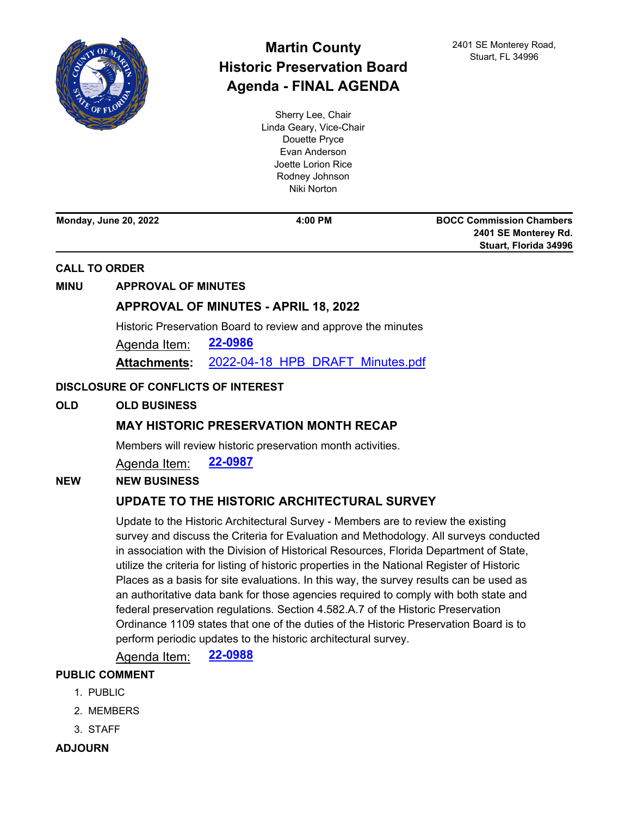

# **Martin County Historic Preservation Board Agenda - FINAL AGENDA**

Sherry Lee, Chair Linda Geary, Vice-Chair Douette Pryce Evan Anderson Joette Lorion Rice Rodney Johnson Niki Norton

**Monday, June 20, 2022 4:00 PM**

**BOCC Commission Chambers 2401 SE Monterey Rd. Stuart, Florida 34996**

#### **CALL TO ORDER**

#### **MINU APPROVAL OF MINUTES**

## **[APPROVAL OF MINUTES - APRIL 18, 2022](http://martin.legistar.com/gateway.aspx?m=l&id=/matter.aspx?key=6347)**

Historic Preservation Board to review and approve the minutes

Agenda Item: **[22-0986](http://martin.legistar.com/gateway.aspx?m=l&id=/matter.aspx?key=6347)**

**Attachments:** [2022-04-18\\_HPB\\_DRAFT\\_Minutes.pdf](http://martin.legistar.com/gateway.aspx?M=F&ID=723406af-ca3a-490e-b6de-cdb3acfafc6f.pdf)

#### **DISCLOSURE OF CONFLICTS OF INTEREST**

**OLD OLD BUSINESS**

## **[MAY HISTORIC PRESERVATION MONTH RECAP](http://martin.legistar.com/gateway.aspx?m=l&id=/matter.aspx?key=6348)**

Members will review historic preservation month activities.

Agenda Item: **[22-0987](http://martin.legistar.com/gateway.aspx?m=l&id=/matter.aspx?key=6348)**

**NEW NEW BUSINESS**

## **[UPDATE TO THE HISTORIC ARCHITECTURAL SURVEY](http://martin.legistar.com/gateway.aspx?m=l&id=/matter.aspx?key=6349)**

Update to the Historic Architectural Survey - Members are to review the existing survey and discuss the Criteria for Evaluation and Methodology. All surveys conducted in association with the Division of Historical Resources, Florida Department of State, utilize the criteria for listing of historic properties in the National Register of Historic Places as a basis for site evaluations. In this way, the survey results can be used as an authoritative data bank for those agencies required to comply with both state and federal preservation regulations. Section 4.582.A.7 of the Historic Preservation Ordinance 1109 states that one of the duties of the Historic Preservation Board is to perform periodic updates to the historic architectural survey.

Agenda Item: **[22-0988](http://martin.legistar.com/gateway.aspx?m=l&id=/matter.aspx?key=6349)**

### **PUBLIC COMMENT**

- 1. PUBLIC
- 2. MEMBERS
- 3. STAFF
- **ADJOURN**